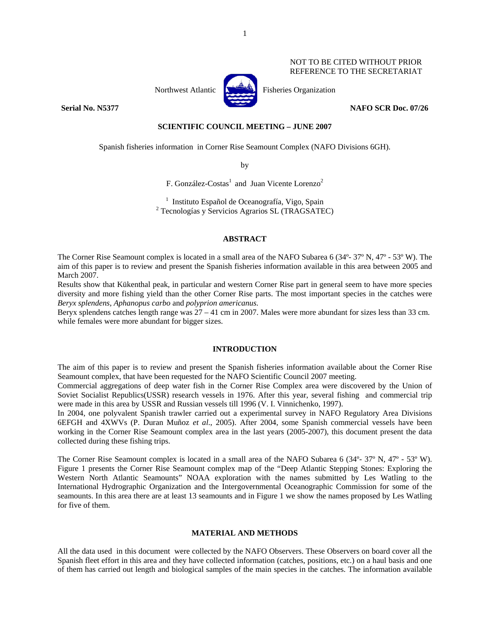#### NOT TO BE CITED WITHOUT PRIOR REFERENCE TO THE SECRETARIAT



Northwest Atlantic **Northus** Fisheries Organization

**Serial No. N5377** NAFO SCR Doc. 07/26

## **SCIENTIFIC COUNCIL MEETING – JUNE 2007**

Spanish fisheries information in Corner Rise Seamount Complex (NAFO Divisions 6GH).

by

F. González-Costas<sup>1</sup> and Juan Vicente Lorenzo<sup>2</sup>

<sup>1</sup> Instituto Español de Oceanografía, Vigo, Spain Tecnologías y Servicios Agrarios SL (TRAGSATEC)

## **ABSTRACT**

The Corner Rise Seamount complex is located in a small area of the NAFO Subarea 6 (34°- 37° N, 47° - 53° W). The aim of this paper is to review and present the Spanish fisheries information available in this area between 2005 and March 2007.

Results show that Kükenthal peak, in particular and western Corner Rise part in general seem to have more species diversity and more fishing yield than the other Corner Rise parts. The most important species in the catches were *Beryx splendens, Aphanopus carbo* and *polyprion americanus.* 

Beryx splendens catches length range was 27 – 41 cm in 2007. Males were more abundant for sizes less than 33 cm. while females were more abundant for bigger sizes.

## **INTRODUCTION**

The aim of this paper is to review and present the Spanish fisheries information available about the Corner Rise Seamount complex, that have been requested for the NAFO Scientific Council 2007 meeting.

Commercial aggregations of deep water fish in the Corner Rise Complex area were discovered by the Union of Soviet Socialist Republics(USSR) research vessels in 1976. After this year, several fishing and commercial trip were made in this area by USSR and Russian vessels till 1996 (V. I. Vinnichenko, 1997).

In 2004, one polyvalent Spanish trawler carried out a experimental survey in NAFO Regulatory Area Divisions 6EFGH and 4XWVs (P. Duran Muñoz *et al*., 2005). After 2004, some Spanish commercial vessels have been working in the Corner Rise Seamount complex area in the last years (2005-2007), this document present the data collected during these fishing trips.

The Corner Rise Seamount complex is located in a small area of the NAFO Subarea 6 (34°- 37° N, 47° - 53° W). Figure 1 presents the Corner Rise Seamount complex map of the "Deep Atlantic Stepping Stones: Exploring the Western North Atlantic Seamounts" NOAA exploration with the names submitted by Les Watling to the International Hydrographic Organization and the Intergovernmental Oceanographic Commission for some of the seamounts. In this area there are at least 13 seamounts and in Figure 1 we show the names proposed by Les Watling for five of them.

#### **MATERIAL AND METHODS**

All the data used in this document were collected by the NAFO Observers. These Observers on board cover all the Spanish fleet effort in this area and they have collected information (catches, positions, etc.) on a haul basis and one of them has carried out length and biological samples of the main species in the catches. The information available

1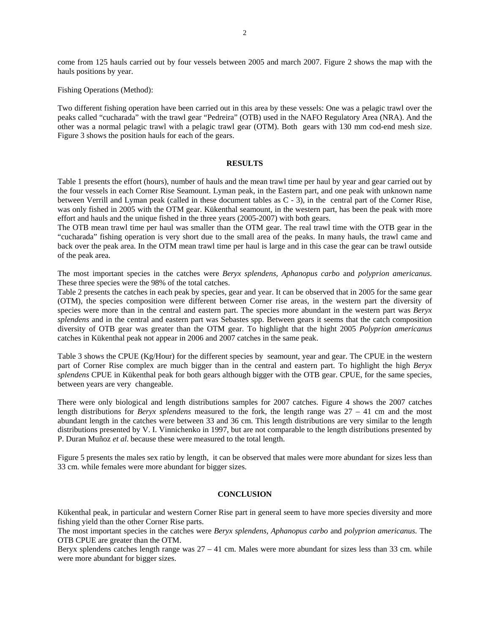come from 125 hauls carried out by four vessels between 2005 and march 2007. Figure 2 shows the map with the hauls positions by year.

Fishing Operations (Method):

Two different fishing operation have been carried out in this area by these vessels: One was a pelagic trawl over the peaks called "cucharada" with the trawl gear "Pedreira" (OTB) used in the NAFO Regulatory Area (NRA). And the other was a normal pelagic trawl with a pelagic trawl gear (OTM). Both gears with 130 mm cod-end mesh size. Figure 3 shows the position hauls for each of the gears.

### **RESULTS**

Table 1 presents the effort (hours), number of hauls and the mean trawl time per haul by year and gear carried out by the four vessels in each Corner Rise Seamount. Lyman peak, in the Eastern part, and one peak with unknown name between Verrill and Lyman peak (called in these document tables as C - 3), in the central part of the Corner Rise, was only fished in 2005 with the OTM gear. Kükenthal seamount, in the western part, has been the peak with more effort and hauls and the unique fished in the three years (2005-2007) with both gears.

The OTB mean trawl time per haul was smaller than the OTM gear. The real trawl time with the OTB gear in the "cucharada" fishing operation is very short due to the small area of the peaks. In many hauls, the trawl came and back over the peak area. In the OTM mean trawl time per haul is large and in this case the gear can be trawl outside of the peak area.

The most important species in the catches were *Beryx splendens, Aphanopus carbo* and *polyprion americanus.* These three species were the 98% of the total catches.

Table 2 presents the catches in each peak by species, gear and year. It can be observed that in 2005 for the same gear (OTM), the species composition were different between Corner rise areas, in the western part the diversity of species were more than in the central and eastern part. The species more abundant in the western part was *Beryx splendens* and in the central and eastern part was Sebastes spp. Between gears it seems that the catch composition diversity of OTB gear was greater than the OTM gear. To highlight that the hight 2005 *Polyprion americanus* catches in Kükenthal peak not appear in 2006 and 2007 catches in the same peak.

Table 3 shows the CPUE (Kg/Hour) for the different species by seamount, year and gear. The CPUE in the western part of Corner Rise complex are much bigger than in the central and eastern part. To highlight the high *Beryx splendens* CPUE in Kükenthal peak for both gears although bigger with the OTB gear. CPUE, for the same species, between years are very changeable.

There were only biological and length distributions samples for 2007 catches. Figure 4 shows the 2007 catches length distributions for *Beryx splendens* measured to the fork, the length range was 27 – 41 cm and the most abundant length in the catches were between 33 and 36 cm. This length distributions are very similar to the length distributions presented by V. I. Vinnichenko in 1997, but are not comparable to the length distributions presented by P. Duran Muñoz *et al*. because these were measured to the total length.

Figure 5 presents the males sex ratio by length, it can be observed that males were more abundant for sizes less than 33 cm. while females were more abundant for bigger sizes.

#### **CONCLUSION**

Kükenthal peak, in particular and western Corner Rise part in general seem to have more species diversity and more fishing yield than the other Corner Rise parts.

The most important species in the catches were *Beryx splendens, Aphanopus carbo* and *polyprion americanus.* The OTB CPUE are greater than the OTM.

Beryx splendens catches length range was 27 – 41 cm. Males were more abundant for sizes less than 33 cm. while were more abundant for bigger sizes.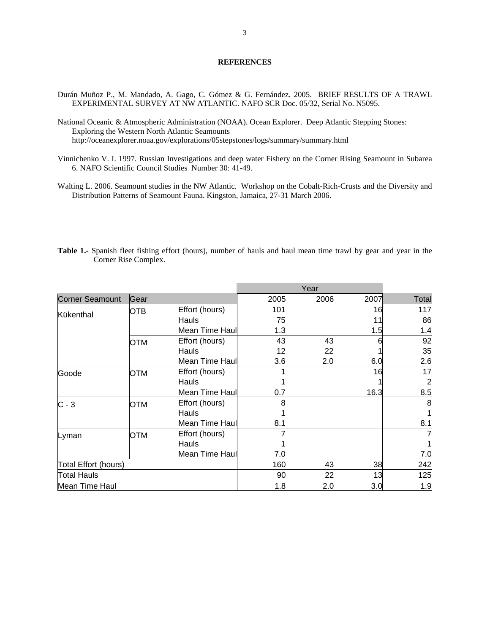# **REFERENCES**

- Durán Muñoz P., M. Mandado, A. Gago, C. Gómez & G. Fernández. 2005. BRIEF RESULTS OF A TRAWL EXPERIMENTAL SURVEY AT NW ATLANTIC. NAFO SCR Doc. 05/32, Serial No. N5095.
- National Oceanic & Atmospheric Administration (NOAA). Ocean Explorer. Deep Atlantic Stepping Stones: Exploring the Western North Atlantic Seamounts http://oceanexplorer.noaa.gov/explorations/05stepstones/logs/summary/summary.html
- Vinnichenko V. I. 1997. Russian Investigations and deep water Fishery on the Corner Rising Seamount in Subarea 6. NAFO Scientific Council Studies Number 30: 41-49.
- Walting L. 2006. Seamount studies in the NW Atlantic. Workshop on the Cobalt-Rich-Crusts and the Diversity and Distribution Patterns of Seamount Fauna. Kingston, Jamaica, 27-31 March 2006.

| Table 1.- Spanish fleet fishing effort (hours), number of hauls and haul mean time trawl by gear and year in the |  |  |  |  |  |  |  |
|------------------------------------------------------------------------------------------------------------------|--|--|--|--|--|--|--|
| Corner Rise Complex.                                                                                             |  |  |  |  |  |  |  |

| <b>Corner Seamount</b> | Gear       |                | 2005 | 2006 | 2007 | Total          |
|------------------------|------------|----------------|------|------|------|----------------|
|                        | <b>OTB</b> | Effort (hours) | 101  |      | 16   | 117            |
| Kükenthal              |            | Hauls          | 75   |      | 11   | 86             |
|                        |            | Mean Time Haul | 1.3  |      | 1.5  | 1.4            |
|                        | <b>OTM</b> | Effort (hours) | 43   | 43   |      | 92             |
|                        |            | Hauls          | 12   | 22   |      | 35             |
|                        |            | Mean Time Haul | 3.6  | 2.0  | 6.0  | 2.6            |
| Goode                  | OTM        | Effort (hours) |      |      | 16   | 17             |
|                        |            | Hauls          |      |      |      | $\overline{2}$ |
|                        |            | Mean Time Haul | 0.7  |      | 16.3 | 8.5            |
| $C - 3$                | <b>OTM</b> | Effort (hours) | 8    |      |      | 8              |
|                        |            | Hauls          |      |      |      | 1              |
|                        |            | Mean Time Haul | 8.1  |      |      | 8.1            |
| Lyman                  | OTM        | Effort (hours) |      |      |      | 7              |
|                        |            | Hauls          |      |      |      | 1              |
|                        |            | Mean Time Haul | 7.0  |      |      | 7.0            |
| Total Effort (hours)   |            |                | 160  | 43   | 38   | 242            |
| <b>Total Hauls</b>     |            |                | 90   | 22   | 13   | 125            |
| Mean Time Haul         |            |                | 1.8  | 2.0  | 3.0  | 1.9            |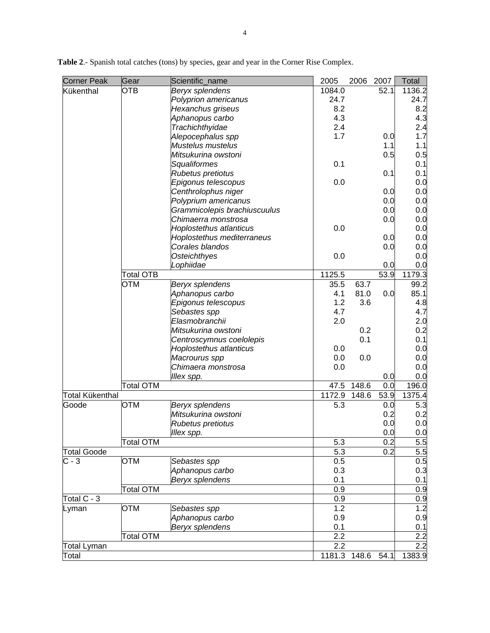| <b>Corner Peak</b>     | Gear             | Scientific_name              | 2005   | 2006  | 2007 | <b>Total</b>     |
|------------------------|------------------|------------------------------|--------|-------|------|------------------|
| Kükenthal              | <b>OTB</b>       | Beryx splendens              | 1084.0 |       | 52.1 | 1136.2           |
|                        |                  | Polyprion americanus         | 24.7   |       |      | 24.7             |
|                        |                  | Hexanchus griseus            | 8.2    |       |      | 8.2              |
|                        |                  | Aphanopus carbo              | 4.3    |       |      | 4.3              |
|                        |                  | Trachichthyidae              | 2.4    |       |      | 2.4              |
|                        |                  | Alepocephalus spp            | 1.7    |       | 0.0  | 1.7              |
|                        |                  | Mustelus mustelus            |        |       | 1.1  | 1.1              |
|                        |                  | Mitsukurina owstoni          |        |       | 0.5  | 0.5              |
|                        |                  | Squaliformes                 | 0.1    |       |      | 0.1              |
|                        |                  | Rubetus pretiotus            |        |       | 0.1  | 0.1              |
|                        |                  | Epigonus telescopus          | 0.0    |       |      | 0.0              |
|                        |                  | Centhrolophus niger          |        |       | 0.0  | 0.0              |
|                        |                  | Polyprium americanus         |        |       | 0.0  | 0.0              |
|                        |                  | Grammicolepis brachiuscuulus |        |       | 0.0  | 0.0              |
|                        |                  | Chimaerra monstrosa          |        |       | 0.0  | 0.0              |
|                        |                  | Hoplostethus atlanticus      | 0.0    |       |      | 0.0              |
|                        |                  | Hoplostethus mediterraneus   |        |       | 0.0  | 0.0              |
|                        |                  | Corales blandos              |        |       | 0.0  | 0.0              |
|                        |                  | <b>Osteichthyes</b>          | 0.0    |       |      | 0.0              |
|                        |                  | Lophiidae                    |        |       | 0.0  | 0.0              |
|                        | <b>Total OTB</b> |                              | 1125.5 |       | 53.9 | 1179.3           |
|                        | <b>OTM</b>       | Beryx splendens              | 35.5   | 63.7  |      | 99.2             |
|                        |                  | Aphanopus carbo              | 4.1    | 81.0  | 0.0  | 85.1             |
|                        |                  | Epigonus telescopus          | 1.2    | 3.6   |      | 4.8              |
|                        |                  | Sebastes spp                 | 4.7    |       |      | 4.7              |
|                        |                  | Elasmobranchii               | 2.0    |       |      | 2.0              |
|                        |                  | Mitsukurina owstoni          |        | 0.2   |      | 0.2              |
|                        |                  | Centroscymnus coelolepis     |        | 0.1   |      | 0.1              |
|                        |                  | Hoplostethus atlanticus      | 0.0    |       |      | 0.0              |
|                        |                  | Macrourus spp                | 0.0    | 0.0   |      | 0.0              |
|                        |                  | Chimaera monstrosa           | 0.0    |       |      | 0.0              |
|                        |                  | Illex spp.                   |        |       | 0.0  | 0.0              |
|                        | <b>Total OTM</b> |                              | 47.5   | 148.6 | 0.0  | 196.0            |
| <b>Total Kükenthal</b> |                  |                              | 1172.9 | 148.6 | 53.9 | 1375.4           |
| Goode                  | <b>OTM</b>       | Beryx splendens              | 5.3    |       | 0.0  | 5.3              |
|                        |                  | Mitsukurina owstoni          |        |       | 0.2  | 0.2              |
|                        |                  | Rubetus pretiotus            |        |       | 0.0  | 0.0              |
|                        |                  | Illex spp.                   |        |       | 0.0  | 0.0              |
|                        | Total OTM        |                              | 5.3    |       | 0.2  | 5.5              |
| <b>Total Goode</b>     |                  |                              | 5.3    |       | 0.2  | 5.5              |
| $C - 3$                | <b>OTM</b>       | Sebastes spp                 | 0.5    |       |      | 0.5              |
|                        |                  | Aphanopus carbo              | 0.3    |       |      | 0.3              |
|                        |                  | <b>Beryx splendens</b>       | 0.1    |       |      | 0.1              |
|                        | Total OTM        |                              | 0.9    |       |      | 0.9              |
| Total C - 3            |                  |                              | 0.9    |       |      | 0.9              |
|                        | <b>OTM</b>       |                              | 1.2    |       |      | 1.2              |
| Lyman                  |                  | Sebastes spp                 |        |       |      |                  |
|                        |                  | Aphanopus carbo              | 0.9    |       |      | 0.9              |
|                        |                  | Beryx splendens              | 0.1    |       |      | 0.1              |
|                        | <b>Total OTM</b> |                              | 2.2    |       |      | 2.2              |
| Total Lyman            |                  |                              | 2.2    |       |      | $\overline{2.2}$ |
| Total                  |                  |                              | 1181.3 | 148.6 | 54.1 | 1383.9           |

**Table 2**.- Spanish total catches (tons) by species, gear and year in the Corner Rise Complex.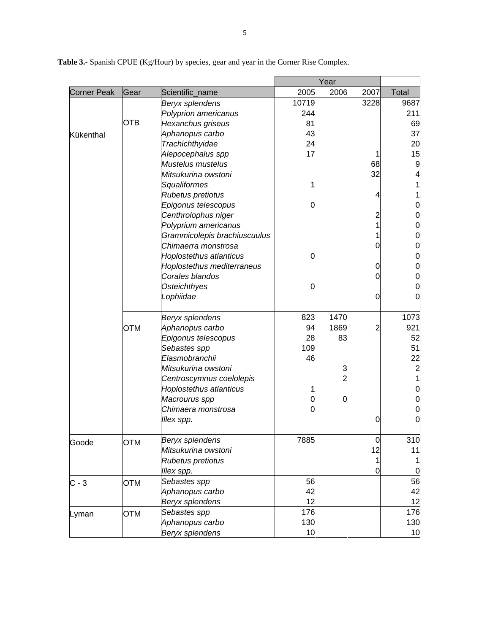|             |            |                              | Year  |                |      |                 |
|-------------|------------|------------------------------|-------|----------------|------|-----------------|
| Corner Peak | Gear       | Scientific_name              | 2005  | 2006           | 2007 | Total           |
|             |            | Beryx splendens              | 10719 |                | 3228 | 9687            |
|             |            | Polyprion americanus         | 244   |                |      | 211             |
|             | OTB        | Hexanchus griseus            | 81    |                |      | 69              |
| Kükenthal   |            | Aphanopus carbo              | 43    |                |      | 37              |
|             |            | Trachichthyidae              | 24    |                |      | 20              |
|             |            | Alepocephalus spp            | 17    |                |      | 15              |
|             |            | Mustelus mustelus            |       |                | 68   | 9               |
|             |            | Mitsukurina owstoni          |       |                | 32   |                 |
|             |            | Squaliformes                 | 1     |                |      |                 |
|             |            | Rubetus pretiotus            |       |                |      |                 |
|             |            | Epigonus telescopus          | 0     |                |      |                 |
|             |            | Centhrolophus niger          |       |                |      |                 |
|             |            | Polyprium americanus         |       |                |      | 0               |
|             |            | Grammicolepis brachiuscuulus |       |                |      |                 |
|             |            | Chimaerra monstrosa          |       |                |      |                 |
|             |            | Hoplostethus atlanticus      | 0     |                |      |                 |
|             |            | Hoplostethus mediterraneus   |       |                |      |                 |
|             |            | Corales blandos              |       |                |      |                 |
|             |            | <b>Osteichthyes</b>          | 0     |                |      |                 |
|             |            | Lophiidae                    |       |                | 0    |                 |
|             |            |                              |       |                |      |                 |
|             |            | Beryx splendens              | 823   | 1470           |      | 1073            |
|             | <b>OTM</b> | Aphanopus carbo              | 94    | 1869           | 2    | 921             |
|             |            | Epigonus telescopus          | 28    | 83             |      | 52              |
|             |            | Sebastes spp                 | 109   |                |      | 51              |
|             |            | Elasmobranchii               | 46    |                |      | 22              |
|             |            | Mitsukurina owstoni          |       | 3              |      |                 |
|             |            | Centroscymnus coelolepis     |       | $\overline{2}$ |      |                 |
|             |            | Hoplostethus atlanticus      | 1     |                |      |                 |
|             |            | Macrourus spp                | 0     | $\mathbf 0$    |      |                 |
|             |            | Chimaera monstrosa           | 0     |                |      |                 |
|             |            | Illex spp.                   |       |                | O    |                 |
|             |            | Beryx splendens              | 7885  |                | 0    | 310             |
| Goode       | <b>OTM</b> | Mitsukurina owstoni          |       |                | 12   | 11              |
|             |            | Rubetus pretiotus            |       |                |      |                 |
|             |            | Illex spp.                   |       |                | 0    |                 |
|             |            | Sebastes spp                 | 56    |                |      | 56              |
| $C - 3$     | <b>OTM</b> |                              | 42    |                |      | 42              |
|             |            | Aphanopus carbo              | 12    |                |      | 12              |
|             |            | Beryx splendens              |       |                |      |                 |
| Lyman       | <b>OTM</b> | Sebastes spp                 | 176   |                |      | 176             |
|             |            | Aphanopus carbo              | 130   |                |      | 130             |
|             |            | Beryx splendens              | 10    |                |      | 10 <sub>1</sub> |

**Table 3.-** Spanish CPUE (Kg/Hour) by species, gear and year in the Corner Rise Complex.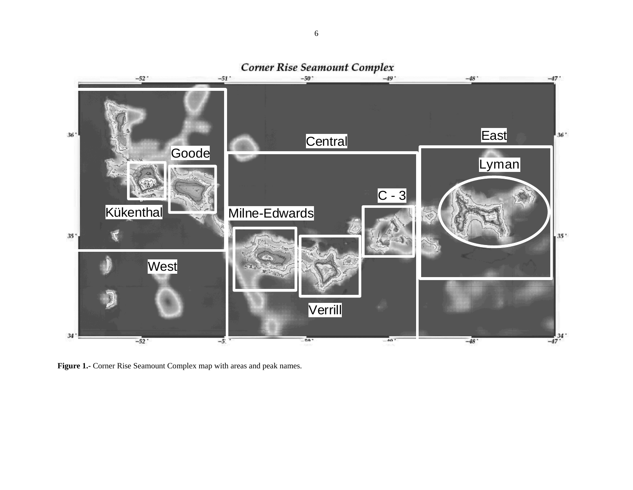

**Figure 1.-** Corner Rise Seamount Complex map with areas and peak names.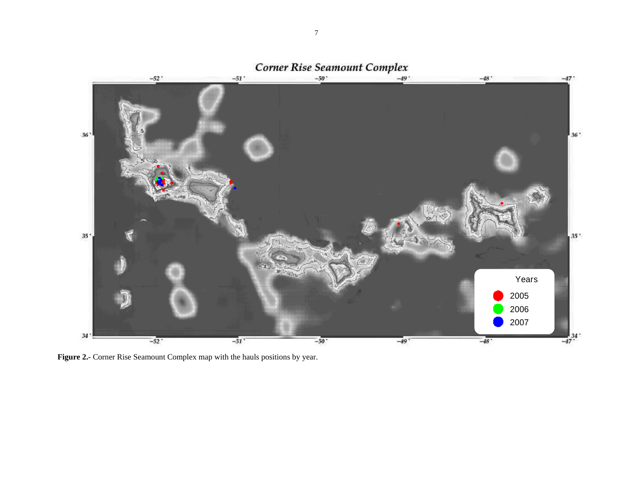

Figure 2.- Corner Rise Seamount Complex map with the hauls positions by year.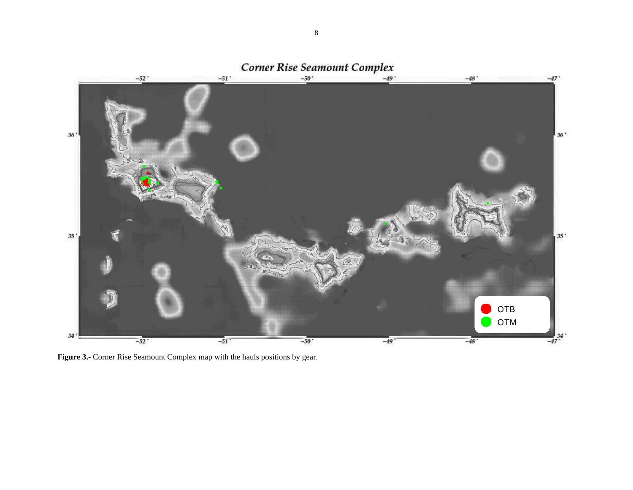

Figure 3.- Corner Rise Seamount Complex map with the hauls positions by gear.